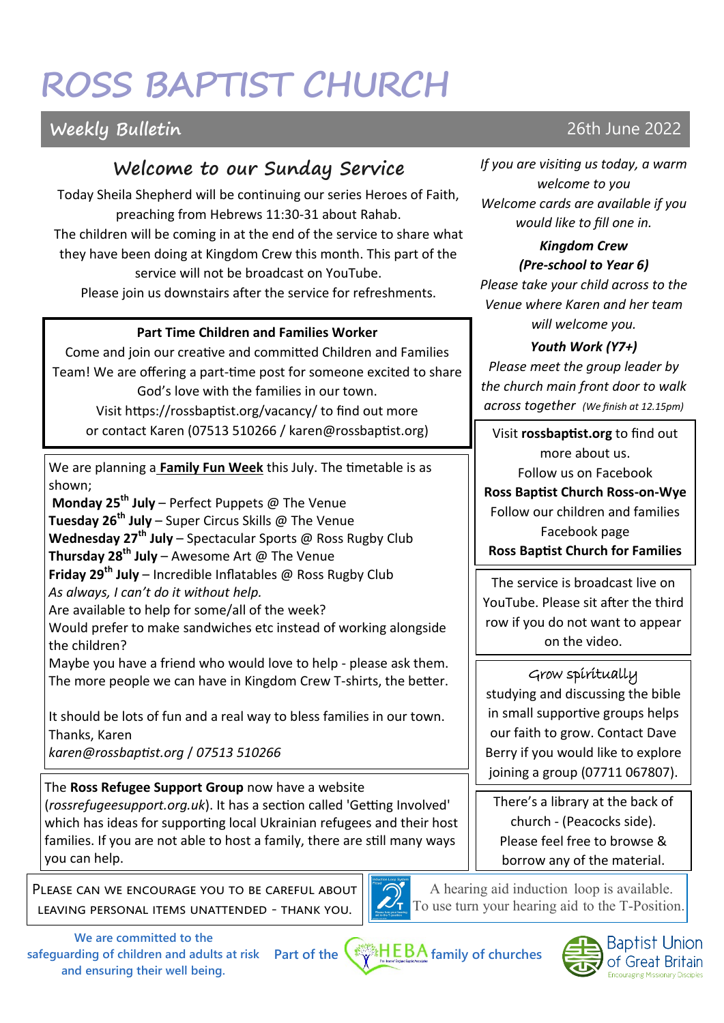# **ROSS BAPTIST CHURCH**

# **Welcome to our Sunday Service**

Today Sheila Shepherd will be continuing our series Heroes of Faith, preaching from Hebrews 11:30-31 about Rahab. The children will be coming in at the end of the service to share what they have been doing at Kingdom Crew this month. This part of the service will not be broadcast on YouTube. Please join us downstairs after the service for refreshments.

### **Part Time Children and Families Worker**

Come and join our creative and committed Children and Families Team! We are offering a part-time post for someone excited to share God's love with the families in our town. Visit https://rossbaptist.org/vacancy/ to find out more or contact Karen (07513 510266 / karen@rossbaptist.org)

We are planning a **Family Fun Week** this July. The timetable is as shown;

**Monday 25th July** – Perfect Puppets @ The Venue **Tuesday 26th July** – Super Circus Skills @ The Venue **Wednesday 27th July** – Spectacular Sports @ Ross Rugby Club **Thursday 28th July** – Awesome Art @ The Venue **Friday 29th July** – Incredible Inflatables @ Ross Rugby Club *As always, I can't do it without help.* Are available to help for some/all of the week?

Would prefer to make sandwiches etc instead of working alongside the children?

Maybe you have a friend who would love to help - please ask them. The more people we can have in Kingdom Crew T-shirts, the better.

It should be lots of fun and a real way to bless families in our town. Thanks, Karen

*karen@rossbaptist.org* / *07513 510266*

The **Ross Refugee Support Group** now have a website (*rossrefugeesupport.org.uk*). It has a section called 'Getting Involved' which has ideas for supporting local Ukrainian refugees and their host families. If you are not able to host a family, there are still many ways you can help.

Please can we encourage you to be careful about leaving personal items unattended - thank you.



A hearing aid induction loop is available. To use turn your hearing aid to the T-Position.

**Part of the family of churches safeguarding of children and adults at risk We are committed to the and ensuring their well being.**



*If you are visiting us today, a warm welcome to you Welcome cards are available if you would like to fill one in.* 

*Kingdom Crew (Pre-school to Year 6) Please take your child across to the* 

*Venue where Karen and her team will welcome you.*

# *Youth Work (Y7+)*

*Please meet the group leader by the church main front door to walk across together (We finish at 12.15pm)*

Visit **rossbaptist.org** to find out more about us. Follow us on Facebook **Ross Baptist Church Ross-on-Wye** Follow our children and families Facebook page **Ross Baptist Church for Families**

The service is broadcast live on YouTube. Please sit after the third row if you do not want to appear on the video.

# Grow spiritually

studying and discussing the bible in small supportive groups helps our faith to grow. Contact Dave Berry if you would like to explore joining a group (07711 067807).

There's a library at the back of church - (Peacocks side). Please feel free to browse & borrow any of the material.